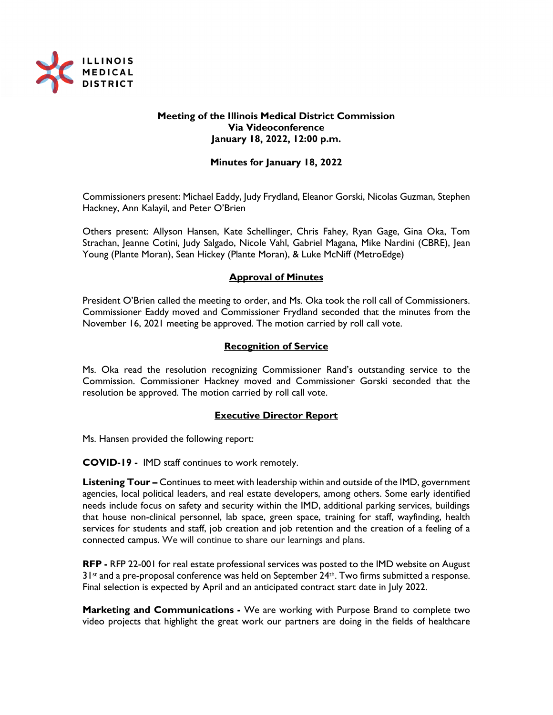

## **Meeting of the Illinois Medical District Commission Via Videoconference January 18, 2022, 12:00 p.m.**

## **Minutes for January 18, 2022**

Commissioners present: Michael Eaddy, Judy Frydland, Eleanor Gorski, Nicolas Guzman, Stephen Hackney, Ann Kalayil, and Peter O'Brien

Others present: Allyson Hansen, Kate Schellinger, Chris Fahey, Ryan Gage, Gina Oka, Tom Strachan, Jeanne Cotini, Judy Salgado, Nicole Vahl, Gabriel Magana, Mike Nardini (CBRE), Jean Young (Plante Moran), Sean Hickey (Plante Moran), & Luke McNiff (MetroEdge)

### **Approval of Minutes**

President O'Brien called the meeting to order, and Ms. Oka took the roll call of Commissioners. Commissioner Eaddy moved and Commissioner Frydland seconded that the minutes from the November 16, 2021 meeting be approved. The motion carried by roll call vote.

### **Recognition of Service**

Ms. Oka read the resolution recognizing Commissioner Rand's outstanding service to the Commission. Commissioner Hackney moved and Commissioner Gorski seconded that the resolution be approved. The motion carried by roll call vote.

### **Executive Director Report**

Ms. Hansen provided the following report:

**COVID-19 -** IMD staff continues to work remotely.

**Listening Tour –** Continues to meet with leadership within and outside of the IMD, government agencies, local political leaders, and real estate developers, among others. Some early identified needs include focus on safety and security within the IMD, additional parking services, buildings that house non-clinical personnel, lab space, green space, training for staff, wayfinding, health services for students and staff, job creation and job retention and the creation of a feeling of a connected campus. We will continue to share our learnings and plans.

**RFP -** RFP 22-001 for real estate professional services was posted to the IMD website on August  $31$ <sup>st</sup> and a pre-proposal conference was held on September  $24$ <sup>th</sup>. Two firms submitted a response. Final selection is expected by April and an anticipated contract start date in July 2022.

**Marketing and Communications -** We are working with Purpose Brand to complete two video projects that highlight the great work our partners are doing in the fields of healthcare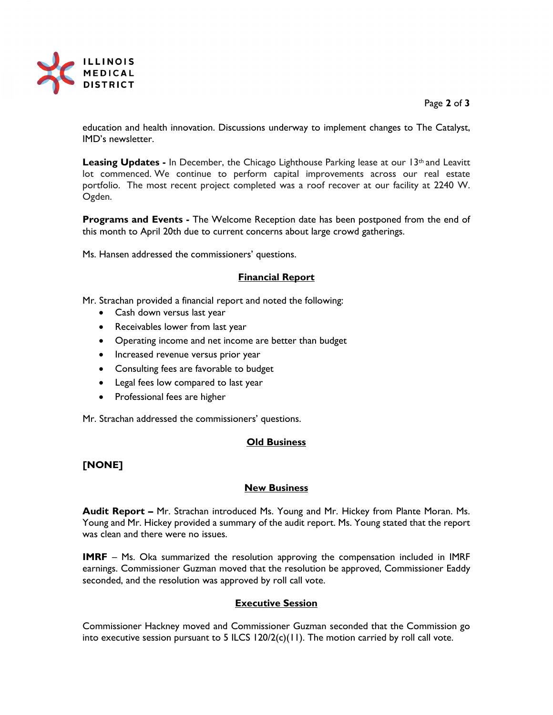

### Page **2** of **3**

education and health innovation. Discussions underway to implement changes to The Catalyst, IMD's newsletter.

Leasing Updates - In December, the Chicago Lighthouse Parking lease at our 13<sup>th</sup> and Leavitt lot commenced. We continue to perform capital improvements across our real estate portfolio. The most recent project completed was a roof recover at our facility at 2240 W. Ogden.

**Programs and Events -** The Welcome Reception date has been postponed from the end of this month to April 20th due to current concerns about large crowd gatherings.

Ms. Hansen addressed the commissioners' questions.

## **Financial Report**

Mr. Strachan provided a financial report and noted the following:

- Cash down versus last year
- Receivables lower from last year
- Operating income and net income are better than budget
- Increased revenue versus prior year
- Consulting fees are favorable to budget
- Legal fees low compared to last year
- Professional fees are higher

Mr. Strachan addressed the commissioners' questions.

### **Old Business**

## **[NONE]**

### **New Business**

**Audit Report –** Mr. Strachan introduced Ms. Young and Mr. Hickey from Plante Moran. Ms. Young and Mr. Hickey provided a summary of the audit report. Ms. Young stated that the report was clean and there were no issues.

**IMRF** – Ms. Oka summarized the resolution approving the compensation included in IMRF earnings. Commissioner Guzman moved that the resolution be approved, Commissioner Eaddy seconded, and the resolution was approved by roll call vote.

## **Executive Session**

Commissioner Hackney moved and Commissioner Guzman seconded that the Commission go into executive session pursuant to 5 ILCS  $120/2(c)(11)$ . The motion carried by roll call vote.